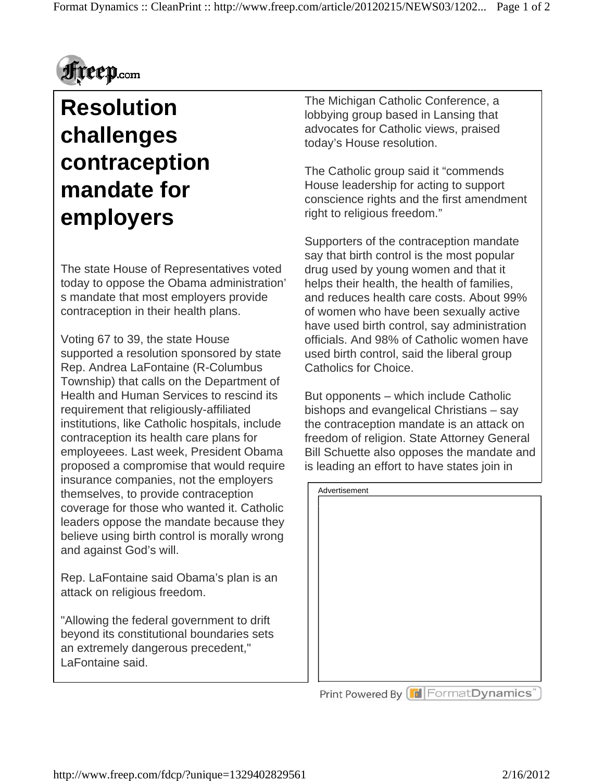

## **Resolution challenges contraception mandate for employers**

The state House of Representatives voted today to oppose the Obama administration' s mandate that most employers provide contraception in their health plans.

Voting 67 to 39, the state House supported a resolution sponsored by state Rep. Andrea LaFontaine (R-Columbus Township) that calls on the Department of Health and Human Services to rescind its requirement that religiously-affiliated institutions, like Catholic hospitals, include contraception its health care plans for employeees. Last week, President Obama proposed a compromise that would require insurance companies, not the employers themselves, to provide contraception coverage for those who wanted it. Catholic leaders oppose the mandate because they believe using birth control is morally wrong and against God's will.

Rep. LaFontaine said Obama's plan is an attack on religious freedom.

"Allowing the federal government to drift beyond its constitutional boundaries sets an extremely dangerous precedent," LaFontaine said.

The Michigan Catholic Conference, a lobbying group based in Lansing that advocates for Catholic views, praised today's House resolution.

The Catholic group said it "commends House leadership for acting to support conscience rights and the first amendment right to religious freedom."

Supporters of the contraception mandate say that birth control is the most popular drug used by young women and that it helps their health, the health of families, and reduces health care costs. About 99% of women who have been sexually active have used birth control, say administration officials. And 98% of Catholic women have used birth control, said the liberal group Catholics for Choice.

But opponents – which include Catholic bishops and evangelical Christians – say the contraception mandate is an attack on freedom of religion. State Attorney General Bill Schuette also opposes the mandate and is leading an effort to have states join in